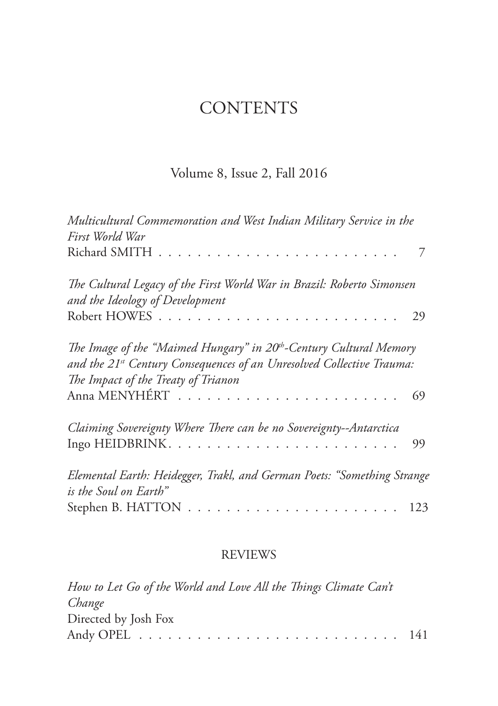## **CONTENTS**

## Volume 8, Issue 2, Fall 2016

| Multicultural Commemoration and West Indian Military Service in the<br>First World War                                                                                                                     |     |
|------------------------------------------------------------------------------------------------------------------------------------------------------------------------------------------------------------|-----|
|                                                                                                                                                                                                            |     |
| The Cultural Legacy of the First World War in Brazil: Roberto Simonsen<br>and the Ideology of Development                                                                                                  | 29  |
| The Image of the "Maimed Hungary" in 20 <sup>th</sup> -Century Cultural Memory<br>and the 21 <sup>st</sup> Century Consequences of an Unresolved Collective Trauma:<br>The Impact of the Treaty of Trianon |     |
|                                                                                                                                                                                                            | 69  |
| Claiming Sovereignty Where There can be no Sovereignty--Antarctica                                                                                                                                         | 99  |
| Elemental Earth: Heidegger, Trakl, and German Poets: "Something Strange<br>is the Soul on Earth"                                                                                                           |     |
|                                                                                                                                                                                                            | 123 |

## REVIEWS

| How to Let Go of the World and Love All the Things Climate Can't |  |
|------------------------------------------------------------------|--|
| Change                                                           |  |
| Directed by Josh Fox                                             |  |
|                                                                  |  |